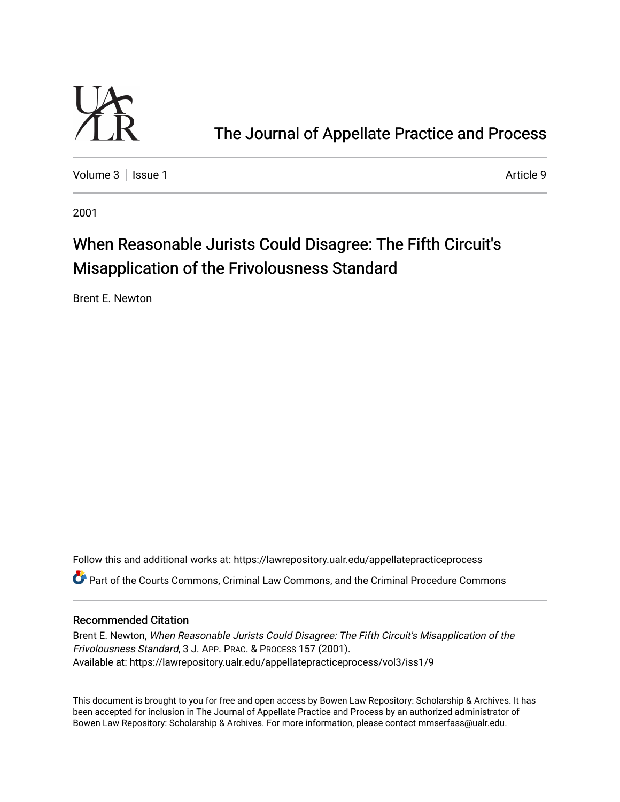

# [The Journal of Appellate Practice and Process](https://lawrepository.ualr.edu/appellatepracticeprocess)

[Volume 3](https://lawrepository.ualr.edu/appellatepracticeprocess/vol3) | [Issue 1](https://lawrepository.ualr.edu/appellatepracticeprocess/vol3/iss1) Article 9

2001

# When Reasonable Jurists Could Disagree: The Fifth Circuit's Misapplication of the Frivolousness Standard

Brent E. Newton

Follow this and additional works at: [https://lawrepository.ualr.edu/appellatepracticeprocess](https://lawrepository.ualr.edu/appellatepracticeprocess?utm_source=lawrepository.ualr.edu%2Fappellatepracticeprocess%2Fvol3%2Fiss1%2F9&utm_medium=PDF&utm_campaign=PDFCoverPages) 

Part of the [Courts Commons,](http://network.bepress.com/hgg/discipline/839?utm_source=lawrepository.ualr.edu%2Fappellatepracticeprocess%2Fvol3%2Fiss1%2F9&utm_medium=PDF&utm_campaign=PDFCoverPages) [Criminal Law Commons](http://network.bepress.com/hgg/discipline/912?utm_source=lawrepository.ualr.edu%2Fappellatepracticeprocess%2Fvol3%2Fiss1%2F9&utm_medium=PDF&utm_campaign=PDFCoverPages), and the [Criminal Procedure Commons](http://network.bepress.com/hgg/discipline/1073?utm_source=lawrepository.ualr.edu%2Fappellatepracticeprocess%2Fvol3%2Fiss1%2F9&utm_medium=PDF&utm_campaign=PDFCoverPages) 

## Recommended Citation

Brent E. Newton, When Reasonable Jurists Could Disagree: The Fifth Circuit's Misapplication of the Frivolousness Standard, 3 J. APP. PRAC. & PROCESS 157 (2001). Available at: https://lawrepository.ualr.edu/appellatepracticeprocess/vol3/iss1/9

This document is brought to you for free and open access by [Bowen Law Repository: Scholarship & Archives.](macro%20site.link) It has been accepted for inclusion in The Journal of Appellate Practice and Process by an authorized administrator of Bowen Law Repository: Scholarship & Archives. For more information, please contact [mmserfass@ualr.edu.](mailto:mmserfass@ualr.edu)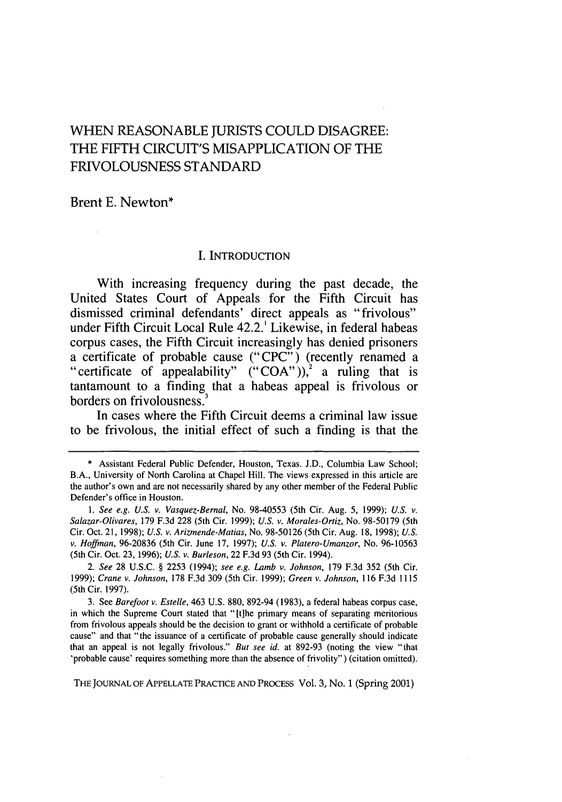# **WHEN REASONABLE JURISTS COULD DISAGREE:** THE FIFTH CIRCUIT'S **MISAPPLICATION** OF THE **FRIVOLOUSNESS STANDARD**

Brent **E.** Newton\*

#### I. INTRODUCTION

With increasing frequency during the past decade, the United States Court of Appeals for the Fifth Circuit has dismissed criminal defendants' direct appeals as "frivolous" under Fifth Circuit Local Rule 42.2.' Likewise, in federal habeas corpus cases, the Fifth Circuit increasingly has denied prisoners a certificate of probable cause ("CPC") (recently renamed a "certificate of appealability" ("COA")),<sup>2</sup> a ruling that is tantamount to a finding that a habeas appeal is frivolous or borders on frivolousness.

In cases where the Fifth Circuit deems a criminal law issue to be frivolous, the initial effect of such a finding is that the

*2. See* **28** U.S.C. § 2253 (1994); *see e.g. Lamb v. Johnson,* **179** F.3d 352 (5th Cir. 1999); *Crane v. Johnson,* 178 F.3d 309 (5th Cir. 1999); *Green v. Johnson,* 116 F.3d 1115 (5th Cir. 1997).

3. See *Barefoot v. Estelle,* 463 U.S. 880, 892-94 (1983), a federal habeas corpus case, in which the Supreme Court stated that "[t]he primary means of separating meritorious from frivolous appeals should be the decision to grant or withhold a certificate of probable cause" and that "the issuance of a certificate of probable cause generally should indicate that an appeal is not legally frivolous." *But see id.* at 892-93 (noting the view "that 'probable cause' requires something more than the absence of frivolity") (citation omitted).

THE JOURNAL OF APPELLATE PRACTICE AND PROCESS Vol. 3, No. 1 (Spring 2001)

<sup>\*</sup> Assistant Federal Public Defender, Houston, Texas. J.D., Columbia Law School; B.A., University of North Carolina at Chapel Hill. The views expressed in this article are the author's own and are not necessarily shared by any other member of the Federal Public Defender's office in Houston.

*<sup>1.</sup> See e.g. U.S. v. Vasquez-Bernal,* No. 98-40553 (5th Cir. Aug. 5, 1999); *U.S. v. Salazar-Olivares,* **179** F.3d 228 (5th Cir. 1999); *U.S. v. Morales-Ortiz,* No. 98-50179 (5th Cir. Oct. 21, 1998); *U.S. v. Arizmende-Matias,* No. 98-50126 (5th Cir. Aug. 18, 1998); *U.S. v. Hoffman,* 96-20836 (5th Cir. June 17, 1997); *U.S. v. Platero-Umanzor,* No. 96-10563 (5th Cir. Oct. **23,** 1996); *U.S. v. Burleson,* 22 F.3d 93 (5th Cir. 1994).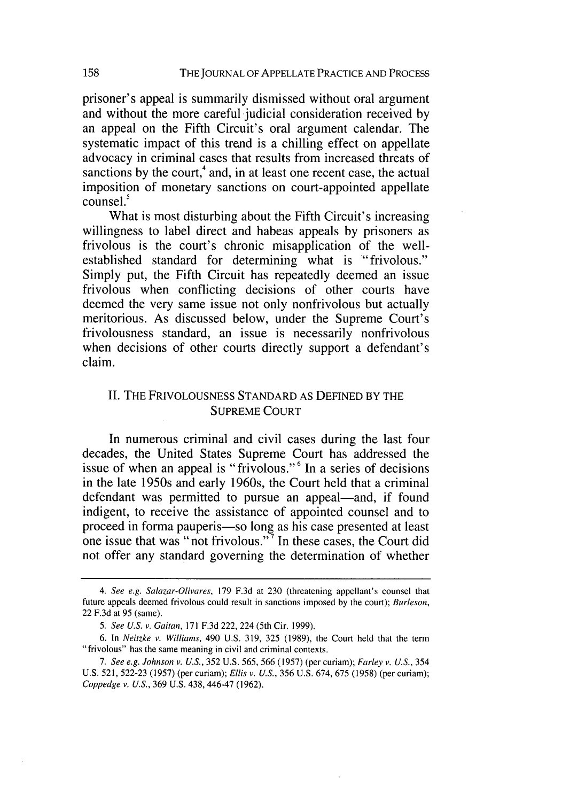prisoner's appeal is summarily dismissed without oral argument and without the more careful judicial consideration received by an appeal on the Fifth Circuit's oral argument calendar. The systematic impact of this trend is a chilling effect on appellate advocacy in criminal cases that results from increased threats of sanctions by the court, $4$  and, in at least one recent case, the actual imposition of monetary sanctions on court-appointed appellate  $\overline{\text{connsel}}^5$ 

What is most disturbing about the Fifth Circuit's increasing willingness to label direct and habeas appeals by prisoners as frivolous is the court's chronic misapplication of the wellestablished standard for determining what is "frivolous." Simply put, the Fifth Circuit has repeatedly deemed an issue frivolous when conflicting decisions of other courts have deemed the very same issue not only nonfrivolous but actually meritorious. As discussed below, under the Supreme Court's frivolousness standard, an issue is necessarily nonfrivolous when decisions of other courts directly support a defendant's claim.

### II. THE FRIVOLOUSNESS STANDARD AS DEFINED BY THE SUPREME COURT

In numerous criminal and civil cases during the last four decades, the United States Supreme Court has addressed the issue of when an appeal is "frivolous."<sup>6</sup> In a series of decisions in the late 1950s and early 1960s, the Court held that a criminal defendant was permitted to pursue an appeal—and, if found indigent, to receive the assistance of appointed counsel and to proceed in forma pauperis-so long as his case presented at least one issue that was "not frivolous."<sup>7</sup> In these cases, the Court did not offer any standard governing the determination of whether

*<sup>4.</sup> See e.g. Salazar-Olivares,* **179** F.3d at 230 (threatening appellant's counsel that future appeals deemed frivolous could result in sanctions imposed by the court); *Burleson,* 22 F.3d at 95 (same).

*<sup>5.</sup> See U.S. v. Gaitan,* 171 F.3d 222, 224 (5th Cir. 1999).

<sup>6.</sup> In *Neitzke v. Williams,* 490 U.S. 319, 325 (1989), the Court held that the term "frivolous" has the same meaning in civil and criminal contexts.

*<sup>7.</sup> See e.g. Johnson v. U.S.,* 352 U.S. 565, 566 (1957) (per curiam); *Farley v. U.S.,* 354 U.S. 521, 522-23 (1957) (per curiam); *Ellis v. U.S.,* 356 U.S. 674, 675 (1958) (per curiam); *Coppedge v. U.S.,* 369 U.S. 438,446-47 (1962).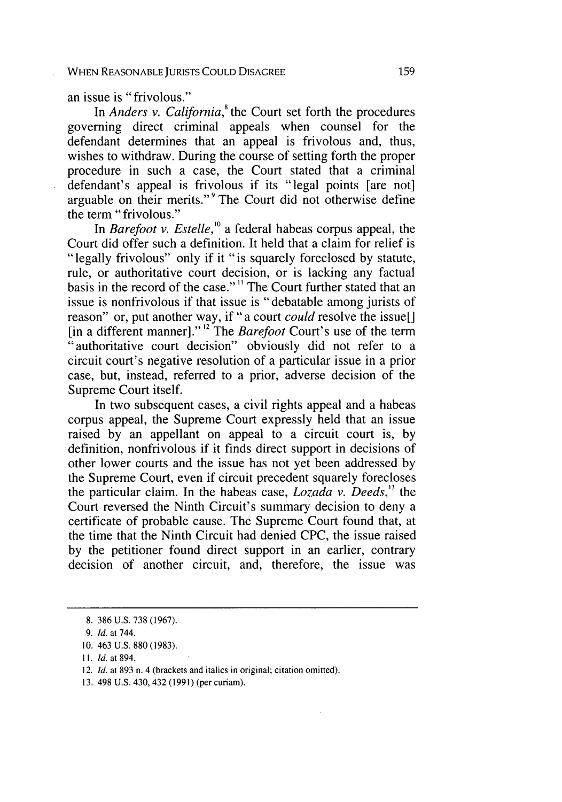an issue is "frivolous."

In *Anders v. California*,<sup>8</sup> the Court set forth the procedures governing direct criminal appeals when counsel for the defendant determines that an appeal is frivolous and, thus, wishes to withdraw. During the course of setting forth the proper procedure in such a case, the Court stated that a criminal defendant's appeal is frivolous if its "legal points [are not] arguable on their merits." **9** The Court did not otherwise define the term "frivolous."

In *Barefoot v. Estelle,'°* a federal habeas corpus appeal, the Court did offer such a definition. It held that a claim for relief is "legally frivolous" only if it "is squarely foreclosed **by** statute, rule, or authoritative court decision, or is lacking any factual basis in the record of the case."" The Court further stated that an issue is nonfrivolous if that issue is "debatable among jurists of reason" or, put another way, if "a court *could* resolve the issue[] [in a different manner]."<sup>12</sup> The *Barefoot* Court's use of the term "authoritative court decision" obviously did not refer to a circuit court's negative resolution of a particular issue in a prior case, but, instead, referred to a prior, adverse decision of the Supreme Court itself.

In two subsequent cases, a civil rights appeal and a habeas corpus appeal, the Supreme Court expressly held that an issue raised **by** an appellant on appeal to a circuit court is, **by** definition, nonfrivolous if it finds direct support in decisions of other lower courts and the issue has not yet been addressed **by** the Supreme Court, even if circuit precedent squarely forecloses the particular claim. In the habeas case, *Lozada v. Deeds,'3* the Court reversed the Ninth Circuit's summary decision to deny a certificate of probable cause. The Supreme Court found that, at the time that the Ninth Circuit had denied CPC, the issue raised by the petitioner found direct support in an earlier, contrary decision of another circuit, and, therefore, the issue was

**13.** 498 **U.S.** 430, 432 (1991) (per curiam).

<sup>8. 386</sup> U.S. 738 (1967).

*<sup>9.</sup> Id.* at 744.

<sup>10. 463</sup> U.S. 880 (1983).

<sup>11.</sup> *Id.* at 894.

<sup>12.</sup> *Id.* at 893 n. 4 (brackets and italics in original; citation omitted).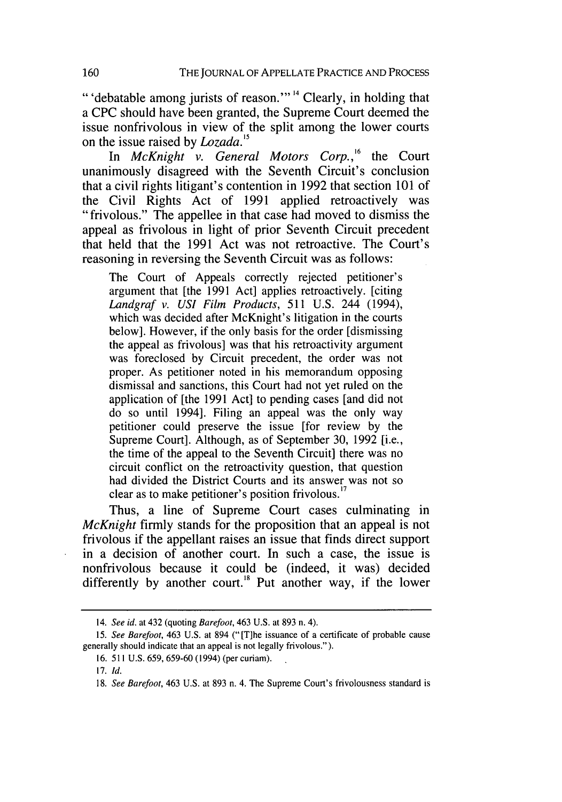"'debatable among jurists of reason."<sup>14</sup> Clearly, in holding that a CPC should have been granted, the Supreme Court deemed the issue nonfrivolous in view of the split among the lower courts on the issue raised by Lozada.'*<sup>5</sup>*

In *McKnight v. General Motors Corp.*,<sup>16</sup> the Court unanimously disagreed with the Seventh Circuit's conclusion that a civil rights litigant's contention in 1992 that section 101 of the Civil Rights Act of 1991 applied retroactively was "frivolous." The appellee in that case had moved to dismiss the appeal as frivolous in light of prior Seventh Circuit precedent that held that the 1991 Act was not retroactive. The Court's reasoning in reversing the Seventh Circuit was as follows:

The Court of Appeals correctly rejected petitioner's argument that [the 1991 Act] applies retroactively. [citing *Landgraf v.* USI *Film Products,* 511 U.S. 244 (1994), which was decided after McKnight's litigation in the courts below]. However, if the only basis for the order [dismissing the appeal as frivolous] was that his retroactivity argument was foreclosed by Circuit precedent, the order was not proper. As petitioner noted in his memorandum opposing dismissal and sanctions, this Court had not yet ruled on the application of [the 1991 Act] to pending cases [and did not do so until 1994]. Filing an appeal was the only way petitioner could preserve the issue [for review by the Supreme Court]. Although, as of September 30, 1992 [i.e., the time of the appeal to the Seventh Circuit] there was no circuit conflict on the retroactivity question, that question had divided the District Courts and its answer was not so clear as to make petitioner's position frivolous.<sup>17</sup>

Thus, a line of Supreme Court cases culminating in *McKnight* firmly stands for the proposition that an appeal is not frivolous if the appellant raises an issue that finds direct support in a decision of another court. In such a case, the issue is nonfrivolous because it could be (indeed, it was) decided differently by another court.<sup>18</sup> Put another way, if the lower

<sup>14.</sup> See id. at 432 (quoting Barefoot, 463 U.S. at 893 n. 4).

<sup>15.</sup> See Barefoot, 463 U.S. at 894 ("[T]he issuance of a certificate of probable cause generally should indicate that an appeal is not legally frivolous.").

<sup>16. 511</sup> U.S. 659, 659-60 (1994) (per curiam).

<sup>17.</sup> **Id.**

<sup>18.</sup> See Barefoot, 463 U.S. at 893 n. 4. The Supreme Court's frivolousness standard is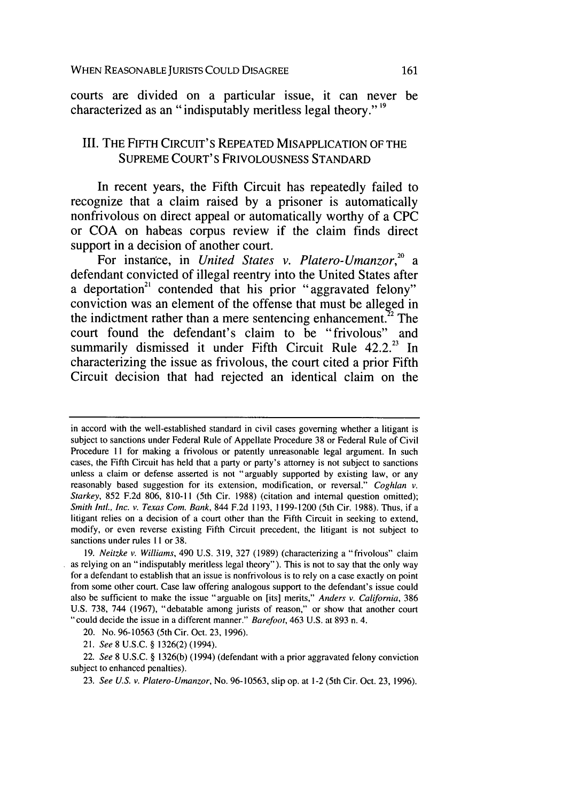courts are divided on a particular issue, it can never be characterized as an "indisputably meritless legal theory." **19**

# III. THE FIFTH CIRCUIT'S REPEATED MISAPPLICATION OF THE **SUPREME** COURT'S **FRIVOLOUSNESS STANDARD**

In recent years, the Fifth Circuit has repeatedly failed to recognize that a claim raised **by** a prisoner is automatically nonfrivolous on direct appeal or automatically worthy of a **CPC** or **COA** on habeas corpus review if the claim finds direct support in a decision of another court.

For instance, in *United States v. Platero-Umanzor,° a* defendant convicted of illegal reentry into the United States after a deportation<sup>21</sup> contended that his prior "aggravated felony" conviction was an element of the offense that must be alleged in the indictment rather than a mere sentencing enhancement. $22$  The court found the defendant's claim to be "frivolous" and summarily dismissed it under Fifth Circuit Rule **42.2.23** In characterizing the issue as frivolous, the court cited a prior Fifth Circuit decision that had rejected an identical claim on the

in accord with the well-established standard in civil cases governing whether a litigant is subject to sanctions under Federal Rule of Appellate Procedure 38 or Federal Rule of Civil Procedure **II** for making a frivolous or patently unreasonable legal argument. In such cases, the Fifth Circuit has held that a party or party's attorney is not subject to sanctions unless a claim or defense asserted is not "arguably supported by existing law, or any reasonably based suggestion for its extension, modification, or reversal." *Coghlan v. Starkey,* 852 F.2d 806, 810-11 (5th Cir. 1988) (citation and internal question omitted); *Smith Intl., Inc. v. Texas Com.* Bank, 844 F.2d 1193, 1199-1200 (5th Cir. 1988). Thus, if a litigant relies on a decision of a court other than the Fifth Circuit in seeking to extend, modify, or even reverse existing Fifth Circuit precedent, the litigant is not subject to sanctions under rules **II** or 38.

<sup>19.</sup> *Neitzke v. Williams,* 490 U.S. 319, 327 (1989) (characterizing a "frivolous" claim as relying on an "indisputably meritless legal theory"). This is not to say that the only way for a defendant to establish that an issue is nonfrivolous is to rely on a case exactly on point from some other court. Case law offering analogous support to the defendant's issue could also be sufficient to make the issue "arguable on [its] merits," *Anders v. California,* 386 U.S. 738, 744 (1967), "debatable among jurists of reason," or show that another court "could decide the issue in a different manner." *Barefoot,* 463 U.S. at 893 n. 4.

<sup>20.</sup> No. 96-10563 (5th Cir. Oct. 23, 1996).

<sup>21.</sup> *See* 8 U.S.C. § 1326(2) (1994).

<sup>22.</sup> *See* 8 U.S.C. § 1326(b) (1994) (defendant with a prior aggravated felony conviction subject to enhanced penalties).

<sup>23.</sup> *See U.S. v. Platero-Umanzor,* No. 96-10563, slip op. at 1-2 (5th Cir. Oct. **23,** 1996).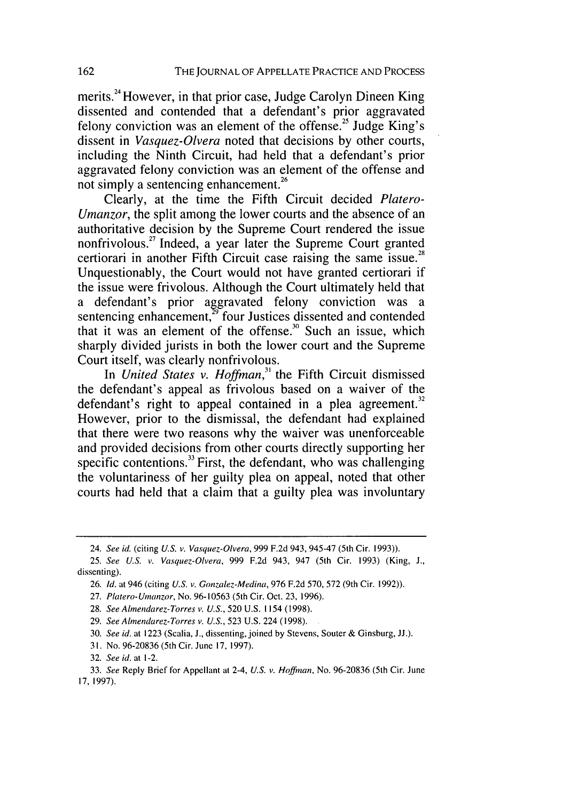merits.<sup>24</sup> However, in that prior case, Judge Carolyn Dineen King dissented and contended that a defendant's prior aggravated felony conviction was an element of the offense.<sup>25</sup> Judge King's dissent in *Vasquez-Olvera* noted that decisions by other courts, including the Ninth Circuit, had held that a defendant's prior aggravated felony conviction was an element of the offense and not simply a sentencing enhancement.<sup>26</sup>

Clearly, at the time the Fifth Circuit decided *Platero-Umanzor,* the split among the lower courts and the absence of an authoritative decision by the Supreme Court rendered the issue nonfrivolous.<sup>27</sup> Indeed, a vear later the Supreme Court granted certiorari in another Fifth Circuit case raising the same issue.<sup>28</sup> Unquestionably, the Court would not have granted certiorari if the issue were frivolous. Although the Court ultimately held that a defendant's prior aggravated felony conviction was a sentencing enhancement,<sup>29</sup> four Justices dissented and contended that it was an element of the offense.<sup>30</sup> Such an issue, which sharply divided jurists in both the lower court and the Supreme Court itself, was clearly nonfrivolous.

In *United States v. Hoffman*,<sup>31</sup> the Fifth Circuit dismissed the defendant's appeal as frivolous based on a waiver of the defendant's right to appeal contained in a plea agreement.<sup>32</sup> However, prior to the dismissal, the defendant had explained that there were two reasons why the waiver was unenforceable and provided decisions from other courts directly supporting her specific contentions. $33$  First, the defendant, who was challenging the voluntariness of her guilty plea on appeal, noted that other courts had held that a claim that a guilty plea was involuntary

- 29. *See* AImendarez-Torres *v. U.S.,* 523 U.S. 224 (1998).
- 30. *See id.* at 1223 (Scalia, J., dissenting, joined by Stevens, Souter & Ginsburg, JJ.).
- **31.** No. 96-20836 (5th Cir. June **17,** 1997).

<sup>24.</sup> See id. (citing U.S. v. Vasquez-Olvera, 999 F.2d 943, 945-47 (5th Cir. 1993)).

<sup>25.</sup> See U.S. v. Vasquez-Olvera, 999 F.2d 943, 947 (5th Cir. 1993) (King, J., dissenting).

<sup>26.</sup> Id. at 946 (citing *U.S.* v. Gonzalez-Medina, 976 F.2d 570, 572 (9th Cir. 1992)).

<sup>27.</sup> Platero-Umanzor, No. 96-10563 (5th Cir. Oct. 23, 1996).

<sup>28.</sup> *See* AImendarez-Torres *v. U.S.,* 520 U.S. 1154 (1998).

<sup>32.</sup> *See* id. at 1-2.

<sup>33.</sup> *See* Reply Brief for Appellant at 2-4, U.S. v. Hoffman, No. 96-20836 (5th Cir. June **17.** 1997).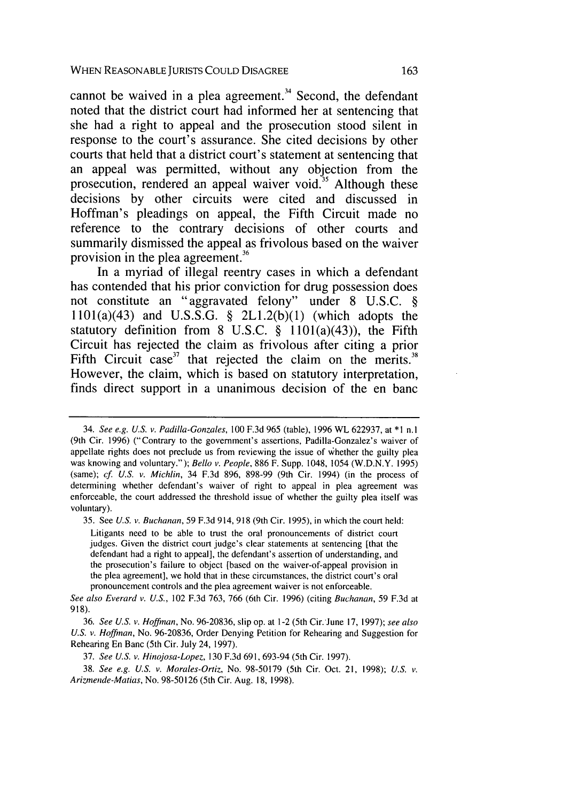cannot be waived in a plea agreement. $34$  Second, the defendant noted that the district court had informed her at sentencing that she had a right to appeal and the prosecution stood silent in response to the court's assurance. She cited decisions **by** other courts that held that a district court's statement at sentencing that an appeal was permitted, without any objection from the prosecution, rendered an appeal waiver void.<sup>35</sup> Although these decisions **by** other circuits were cited and discussed in Hoffman's pleadings on appeal, the Fifth Circuit made no reference to the contrary decisions of other courts and summarily dismissed the appeal as frivolous based on the waiver provision in the plea agreement.<sup>36</sup>

In a myriad of illegal reentry cases in which a defendant has contended that his prior conviction for drug possession does not constitute an "aggravated felony" under **8 U.S.C. § I** 101(a)(43) and **U.S.S.G. § 2L1.2(b)(1)** (which adopts the statutory definition from **8 U.S.C. §** 1101(a)(43)), the Fifth Circuit has rejected the claim as frivolous after citing a prior Fifth Circuit case<sup>37</sup> that rejected the claim on the merits.<sup>38</sup> However, the claim, which is based on statutory interpretation, finds direct support in a unanimous decision of the en banc

35. See *U.S.* v. *Buchanan,* 59 F.3d 914, 918 (9th Cir. 1995), in which the court held:

Litigants need to be able to trust the oral pronouncements of district court judges. Given the district court judge's clear statements at sentencing [that the defendant had a right to appeal], the defendant's assertion of understanding, and the prosecution's failure to object [based on the waiver-of-appeal provision in the plea agreement], we hold that in these circumstances, the district court's oral pronouncement controls and the plea agreement waiver is not enforceable.

*See also* Everard *v. U.S.,* 102 F.3d 763, 766 (6th Cir. 1996) (citing *Buchanan,* 59 F.3d at 918).

36. *See U.S. v. Hoffman,* No. 96-20836, slip op. at 1-2 (5th Cir.June 17, 1997); *see also U.S. v. Hoffman,* No. 96-20836, Order Denying Petition for Rehearing and Suggestion for Rehearing En Banc (5th Cir. July 24, 1997).

37. *See U.S. v. Hinojosa-Lopez,* 130 F.3d 691,693-94 (5th Cir. 1997).

38. *See e.g. U.S. v. Morales-Ortiz,* No. 98-50179 (5th Cir. Oct. 21, 1998); *U.S.* **v.** *Arizmende-Matias,* No. 98-50126 (5th Cir. Aug. 18, 1998).

<sup>34.</sup> *See e.g. U.S.* v. *Padilla-Gonzales,* 100 F.3d 965 (table), 1996 WL 622937, at \*1 n.l (9th Cir. 1996) ("Contrary to the government's assertions, Padilla-Gonzalez's waiver of appellate rights does not preclude us from reviewing the issue of whether the guilty plea was knowing and voluntary."); *Bello v. People,* 886 F. Supp. 1048, 1054 (W.D.N.Y. 1995) (same); cf. *U.S. v. Michlin,* 34 F.3d 896, 898-99 (9th Cir. 1994) (in the process of determining whether defendant's waiver of right to appeal in plea agreement was enforceable, the court addressed the threshold issue of whether the guilty plea itself was voluntary).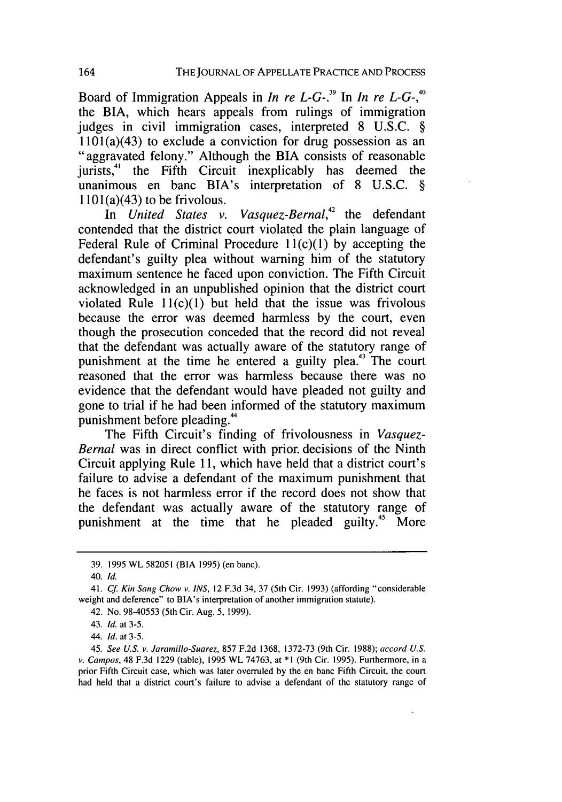Board of Immigration Appeals in *In re L-G-. <sup>39</sup>*In *In re L-G-,* the BIA, which hears appeals from rulings of immigration judges in civil immigration cases, interpreted 8 U.S.C. §  $1101(a)(43)$  to exclude a conviction for drug possession as an "aggravated felony." Although the BIA consists of reasonable jurists,<sup>41</sup> the Fifth Circuit inexplicably has deemed the unanimous en banc BIA's interpretation of 8 U.S.C. §  $1101(a)(43)$  to be frivolous.

In *United States v. Vasquez-Bernal,42* the defendant contended that the district court violated the plain language of Federal Rule of Criminal Procedure  $11(c)(1)$  by accepting the defendant's guilty plea without warning him of the statutory maximum sentence he faced upon conviction. The Fifth Circuit acknowledged in an unpublished opinion that the district court violated Rule  $11(c)(1)$  but held that the issue was frivolous because the error was deemed harmless by the court, even though the prosecution conceded that the record did not reveal that the defendant was actually aware of the statutory range of punishment at the time he entered a guilty plea.<sup>43</sup> The court reasoned that the error was harmless because there was no evidence that the defendant would have pleaded not guilty and gone to trial if he had been informed of the statutory maximum punishment before pleading.<sup>44</sup>

The Fifth Circuit's finding of frivolousness in *Vasquez-Bernal* was in direct conflict with prior, decisions of the Ninth Circuit applying Rule 11, which have held that a district court's failure to advise a defendant of the maximum punishment that he faces is not harmless error if the record does not show that the defendant was actually aware of the statutory range of punishment at the time that he pleaded guilty.<sup>45</sup> More

44. *Id.* at 3-5.

<sup>39. 1995</sup> WL 582051 (BIA 1995) (en banc).

<sup>40.</sup> *Id.*

<sup>41.</sup> *Cf Kin Sang* Chow *v. INS,* 12 F.3d 34, 37 (5th Cir. 1993) (affording "considerable weight and deference" to BIA's interpretation of another immigration statute).

<sup>42.</sup> No. 98-40553 (5th Cir. Aug. 5, 1999).

<sup>43.</sup> *Id.* at 3-5.

<sup>45.</sup> *See U.S. v. Jaramillo-Suarez,* 857 F.2d 1368, 1372-73 (9th Cir. 1988); *accord U.S. v. Campos,* 48 F.3d 1229 (table), 1995 WL 74763, at \*1 (9th Cir. 1995). Furthermore, in a prior Fifth Circuit case, which was later overruled by the en banc Fifth Circuit, the court had held that a district court's failure to advise a defendant of the statutory range of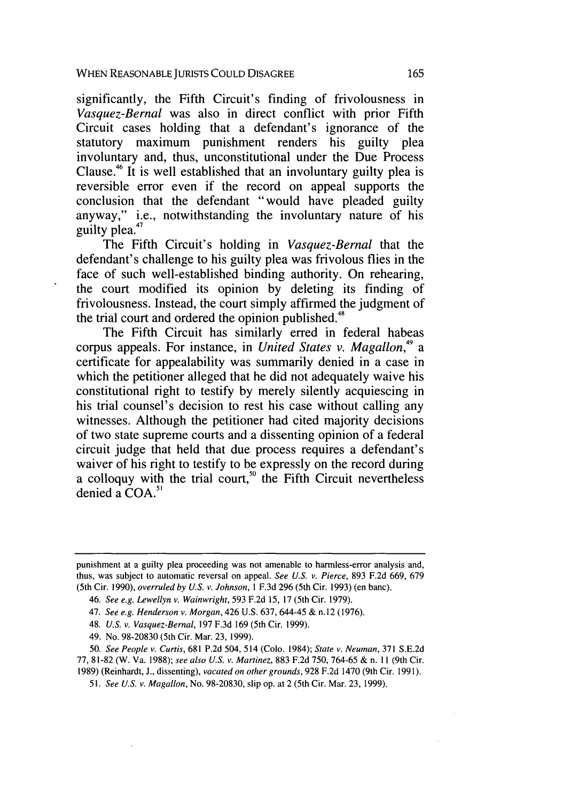significantly, the Fifth Circuit's finding of frivolousness in *Vasquez-Bernal* was also in direct conflict with prior Fifth Circuit cases holding that a defendant's ignorance of the statutory maximum punishment renders his guilty plea involuntary and, thus, unconstitutional under the Due Process Clause.46 It is well established that an involuntary guilty plea is reversible error even if the record on appeal supports the conclusion that the defendant "would have pleaded guilty anyway," i.e., notwithstanding the involuntary nature of his guilty plea.<sup>47</sup>

The Fifth Circuit's holding in *Vasquez-Bernal* that the defendant's challenge to his guilty plea was frivolous flies in the face of such well-established binding authority. On rehearing, the court modified its opinion by deleting its finding of frivolousness. Instead, the court simply affirmed the judgment of the trial court and ordered the opinion published.<sup>48</sup>

The Fifth Circuit has similarly erred in federal habeas corpus appeals. For instance, in *United States v. Magallon*,<sup>49</sup> a certificate for appealability was summarily denied in a case in which the petitioner alleged that he did not adequately waive his constitutional right to testify by merely silently acquiescing in his trial counsel's decision to rest his case without calling any witnesses. Although the petitioner had cited majority decisions of two state supreme courts and a dissenting opinion of a federal circuit judge that held that due process requires a defendant's waiver of his right to testify to be expressly on the record during a colloquy with the trial court,<sup>50</sup> the Fifth Circuit nevertheless denied a  $COA$ .<sup>51</sup>

punishment at a guilty plea proceeding was not amenable to harmless-error analysis and, thus, was subject to automatic reversal on appeal. *See U.S. v. Pierce,* 893 F.2d 669, 679 (5th Cir. 1990), overruled *by U.S. v. Johnson, I* F.3d 296 (5th Cir. 1993) (en banc).

<sup>46.</sup> *See e.g. Lewellyn v. Wainwright,* 593 F.2d 15, 17 (5th Cir. 1979).

<sup>47.</sup> *See e.g. Henderson* v. Morgan, 426 U.S. 637, 644-45 & n.12 (1976).

<sup>48.</sup> *U.S. v. Vasquez-Bernal,* 197 F.3d 169 (5th Cir. 1999).

<sup>49.</sup> No. 98-20830 (5th Cir. Mar. 23, 1999).

<sup>50.</sup> *See People v. Curtis,* 681 P.2d 504, 514 (Colo. 1984); *State v. Neuman,* 371 S.E.2d 77, 81-82 (W. Va. 1988); *see also U.S. v. Martinez,* 883 F.2d 750, 764-65 & n. 11 (9th Cir.

<sup>1989) (</sup>Reinhardt, J., dissenting), *vacated on other grounds,* 928 F.2d 1470 (9th Cir. 1991).

<sup>51.</sup> *See U.S. v. Magallon,* No. 98-20830, slip op. at 2 (5th Cir. Mar. 23, 1999).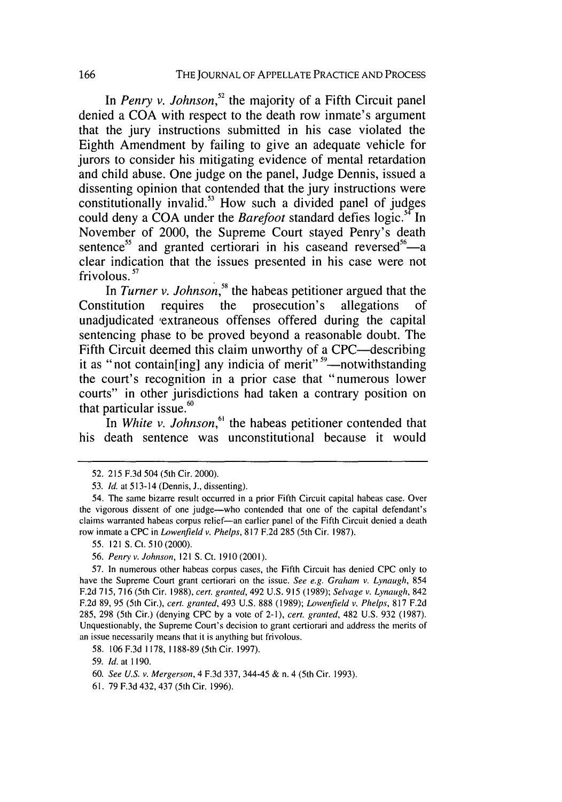In *Penry v. Johnson,"* the majority of a Fifth Circuit panel denied a **COA** with respect to the death row inmate's argument that the jury instructions submitted in his case violated the Eighth Amendment **by** failing to give an adequate vehicle for jurors to consider his mitigating evidence of mental retardation and child abuse. One judge on the panel, Judge Dennis, issued a dissenting opinion that contended that the jury instructions were constitutionally invalid.<sup>53</sup> How such a divided panel of judges could deny a **COA** under the *Barefoot* standard defies logic.54 In November of 2000, the Supreme Court stayed Penry's death sentence<sup>55</sup> and granted certiorari in his caseand reversed<sup>56</sup>—a clear indication that the issues presented in his case were not frivolous. **7**

In *Turner v. Johnson,"* the habeas petitioner argued that the Constitution requires the prosecution's allegations of unadjudicated 'extraneous offenses offered during the capital sentencing phase to be proved beyond a reasonable doubt. The Fifth Circuit deemed this claim unworthy of a CPC—describing it as "not contain[ing] any indicia of merit" **'9-notwithstanding** the court's recognition in a prior case that "numerous lower courts" in other jurisdictions had taken a contrary position on that particular issue. $60$ 

In *White v. Johnson*,<sup>61</sup> the habeas petitioner contended that his death sentence was unconstitutional because it would

**<sup>52. 215</sup> F.3d** 504 (5th Cir. 2000).

**<sup>53.</sup> Id.** at 513-14 (Dennis, **J.,** dissenting).

<sup>54.</sup> The same bizarre result occurred in a prior Fifth Circuit capital habeas case. Over the vigorous dissent of one judge-who contended that one of the capital defendant's claims warranted habeas corpus relief-an earlier panel of the Fifth Circuit denied a death row inmate a **CPC** in *Lowenfield v.* Phelps, **817 F.2d 285** (5th Cir. **1987).**

**<sup>55.</sup>** 121 **S.** Ct. **510** (2000).

**<sup>56.</sup>** *Penry v. Johnson,* 121 **S.** Ct. **1910** (2001).

**<sup>57.</sup>** In numerous other habeas corpus cases, the Fifth Circuit has denied **CPC** only to have the Supreme Court grant certiorari on the issue. *See* e.g. Graham *v. Lynaugh,* 854 **F.2d 715, 716** (5th Cir. **1988),** *cert. granted,* 492 **U.S. 915 (1989);** *Selvage v. Lynaugh,* 842 **F.2d 89, 95** (5th Cir.), *cert. granted,* 493 **U.S. 888 (1989);** *Lowenfield v. Phelps,* **817 F.2d 285, 298** (5th Cir.) (denying **CPC by** a vote of 2-1), *cert.* granted, 482 **U.S. 932 (1987).** Unquestionably, the Supreme Court's decision to grant certiorari and address the merits of an issue necessarily means that it is anything but frivolous.

**<sup>58. 106</sup> F.3d 1178, 1188-89** (5th Cir. **1997).**

**<sup>59.</sup>** *Id.* at **1190.**

**<sup>60.</sup>** *See U.S. v. Mergerson,* 4 **F.3d 337,** 344-45 **&** n. 4 (5th Cir. **1993).**

**<sup>61. 79</sup> F.3d** 432, 437 (5th Cir. **1996).**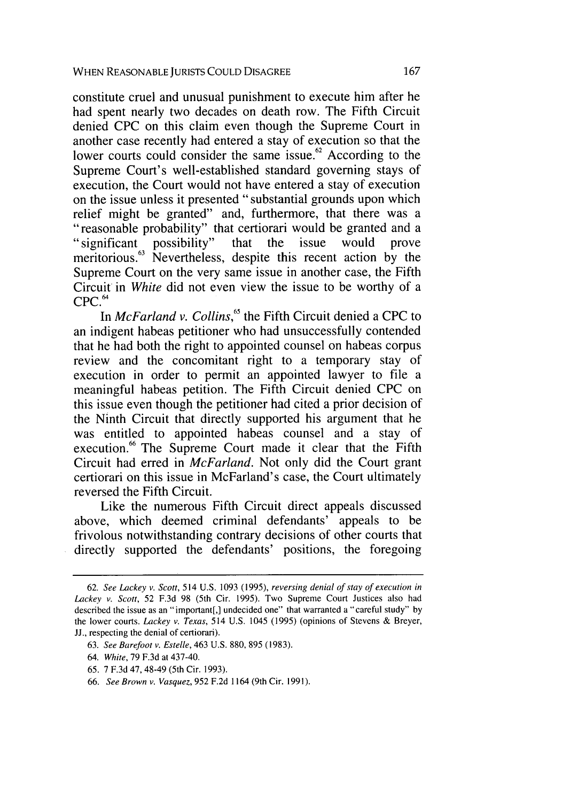constitute cruel and unusual punishment to execute him after he had spent nearly two decades on death row. The Fifth Circuit denied CPC on this claim even though the Supreme Court in another case recently had entered a stay of execution so that the lower courts could consider the same issue.<sup>62</sup> According to the Supreme Court's well-established standard governing stays of execution, the Court would not have entered a stay of execution on the issue unless it presented "substantial grounds upon which relief might be granted" and, furthermore, that there was a "reasonable probability" that certiorari would be granted and a "significant possibility" that the issue would prove meritorious.<sup>63</sup> Nevertheless, despite this recent action by the Supreme Court on the very same issue in another case, the Fifth Circuit in *White* did not even view the issue to be worthy of a **CPC. <sup>4</sup>**

In *McFarland v. Collins*,<sup>65</sup> the Fifth Circuit denied a CPC to an indigent habeas petitioner who had unsuccessfully contended that he had both the right to appointed counsel on habeas corpus review and the concomitant right to a temporary stay of execution in order to permit an appointed lawyer to file a meaningful habeas petition. The Fifth Circuit denied CPC on this issue even though the petitioner had cited a prior decision of the Ninth Circuit that directly supported his argument that he was entitled to appointed habeas counsel and a stay of execution.<sup>66</sup> The Supreme Court made it clear that the Fifth Circuit had erred in *McFarland.* Not only did the Court grant certiorari on this issue in McFarland's case, the Court ultimately reversed the Fifth Circuit.

Like the numerous Fifth Circuit direct appeals discussed above, which deemed criminal defendants' appeals to be frivolous notwithstanding contrary decisions of other courts that directly supported the defendants' positions, the foregoing

<sup>62.</sup> *See Lackey v. Scott,* 514 U.S. 1093 (1995), *reversing denial of stay of execution in Lackey v. Scott,* 52 F.3d 98 (5th Cir. 1995). Two Supreme Court Justices also had described the issue as an "important[,] undecided one" that warranted a "careful study" by the lower courts. *Lackey* v. *Texas,* 514 U.S. 1045 (1995) (opinions of Stevens & Breyer, JJ., respecting the denial of certiorari).

<sup>63.</sup> *See Barefoot v. Estelle,* 463 U.S. 880, 895 (1983).

<sup>64.</sup> *White,* 79 F.3d at 437-40.

<sup>65. 7</sup> F.3d 47, 48-49 (5th Cir. 1993).

<sup>66.</sup> *See Brown v. Vasquez,* 952 F.2d 1164 (9th Cir. 1991).